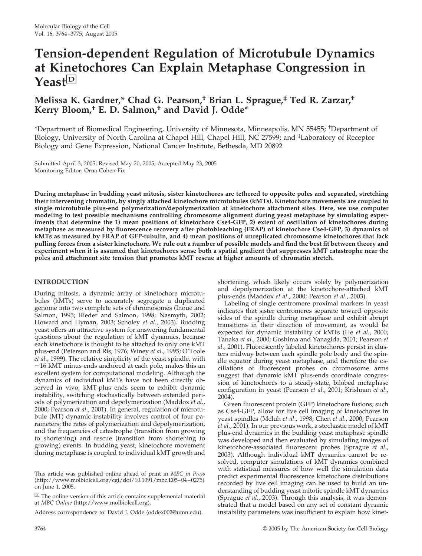# **Tension-dependent Regulation of Microtubule Dynamics at Kinetochores Can Explain Metaphase Congression in Yeast**□**<sup>D</sup>**

# **Melissa K. Gardner,\* Chad G. Pearson,† Brian L. Sprague,‡ Ted R. Zarzar,† Kerry Bloom,† E. D. Salmon,† and David J. Odde\***

\*Department of Biomedical Engineering, University of Minnesota, Minneapolis, MN 55455; † Department of Biology, University of North Carolina at Chapel Hill, Chapel Hill, NC 27599; and ‡ Laboratory of Receptor Biology and Gene Expression, National Cancer Institute, Bethesda, MD 20892

Submitted April 3, 2005; Revised May 20, 2005; Accepted May 23, 2005 Monitoring Editor: Orna Cohen-Fix

**During metaphase in budding yeast mitosis, sister kinetochores are tethered to opposite poles and separated, stretching their intervening chromatin, by singly attached kinetochore microtubules (kMTs). Kinetochore movements are coupled to single microtubule plus-end polymerization/depolymerization at kinetochore attachment sites. Here, we use computer modeling to test possible mechanisms controlling chromosome alignment during yeast metaphase by simulating experiments that determine the 1) mean positions of kinetochore Cse4-GFP, 2) extent of oscillation of kinetochores during metaphase as measured by fluorescence recovery after photobleaching (FRAP) of kinetochore Cse4-GFP, 3) dynamics of kMTs as measured by FRAP of GFP-tubulin, and 4) mean positions of unreplicated chromosome kinetochores that lack pulling forces from a sister kinetochore. We rule out a number of possible models and find the best fit between theory and experiment when it is assumed that kinetochores sense both a spatial gradient that suppresses kMT catastrophe near the poles and attachment site tension that promotes kMT rescue at higher amounts of chromatin stretch.**

### **INTRODUCTION**

During mitosis, a dynamic array of kinetochore microtubules (kMTs) serve to accurately segregate a duplicated genome into two complete sets of chromosomes (Inoue and Salmon, 1995; Rieder and Salmon, 1998; Nasmyth, 2002; Howard and Hyman, 2003; Scholey *et al*., 2003). Budding yeast offers an attractive system for answering fundamental questions about the regulation of kMT dynamics, because each kinetochore is thought to be attached to only one kMT plus-end (Peterson and Ris, 1976; Winey *et al*., 1995; O'Toole *et al*., 1999). The relative simplicity of the yeast spindle, with  $\sim$ 16 kMT minus-ends anchored at each pole, makes this an excellent system for computational modeling. Although the dynamics of individual kMTs have not been directly observed in vivo, kMT-plus ends seem to exhibit dynamic instability, switching stochastically between extended periods of polymerization and depolymerization (Maddox *et al*., 2000; Pearson *et al*., 2001). In general, regulation of microtubule (MT) dynamic instability involves control of four parameters: the rates of polymerization and depolymerization, and the frequencies of catastrophe (transition from growing to shortening) and rescue (transition from shortening to growing) events. In budding yeast, kinetochore movement during metaphase is coupled to individual kMT growth and

This article was published online ahead of print in *MBC in Press* (http://www.molbiolcell.org/cgi/doi/10.1091/mbc.E05–04–0275) on June 1, 2005.

 $\Box$  The online version of this article contains supplemental material at *MBC Online* (http://www.molbiolcell.org).

Address correspondence to: David J. Odde (oddex002@umn.edu).

shortening, which likely occurs solely by polymerization and depolymerization at the kinetochore-attached kMT plus-ends (Maddox *et al*., 2000; Pearson *et al*., 2003).

Labeling of single centromere proximal markers in yeast indicates that sister centromeres separate toward opposite sides of the spindle during metaphase and exhibit abrupt transitions in their direction of movement, as would be expected for dynamic instability of kMTs (He *et al*., 2000; Tanaka *et al*., 2000; Goshima and Yanagida, 2001; Pearson *et al*., 2001). Fluorescently labeled kinetochores persist in clusters midway between each spindle pole body and the spindle equator during yeast metaphase, and therefore the oscillations of fluorescent probes on chromosome arms suggest that dynamic kMT plus-ends coordinate congression of kinetochores to a steady-state, bilobed metaphase configuration in yeast (Pearson *et al*., 2001; Krishnan *et al*., 2004).

Green fluorescent protein (GFP) kinetochore fusions, such as Cse4-GFP, allow for live cell imaging of kinetochores in yeast spindles (Meluh *et al*., 1998; Chen *et al*., 2000; Pearson *et al*., 2001). In our previous work, a stochastic model of kMT plus-end dynamics in the budding yeast metaphase spindle was developed and then evaluated by simulating images of kinetochore-associated fluorescent probes (Sprague *et al*., 2003). Although individual kMT dynamics cannot be resolved, computer simulations of kMT dynamics combined with statistical measures of how well the simulation data predict experimental fluorescence kinetochore distributions recorded by live cell imaging can be used to build an understanding of budding yeast mitotic spindle kMT dynamics (Sprague *et al*., 2003). Through this analysis, it was demonstrated that a model based on any set of constant dynamic instability parameters was insufficient to explain how kinet-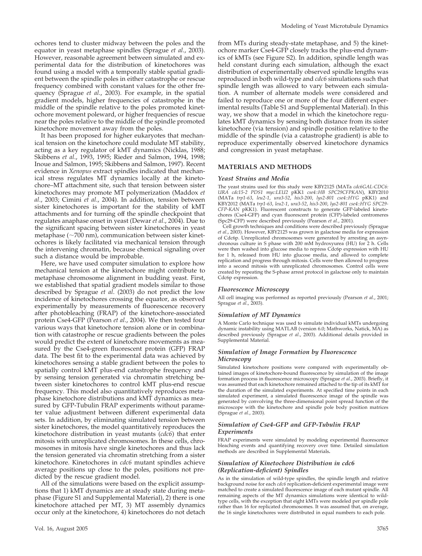ochores tend to cluster midway between the poles and the equator in yeast metaphase spindles (Sprague *et al*., 2003). However, reasonable agreement between simulated and experimental data for the distribution of kinetochores was found using a model with a temporally stable spatial gradient between the spindle poles in either catastrophe or rescue frequency combined with constant values for the other frequency (Sprague *et al*., 2003). For example, in the spatial gradient models, higher frequencies of catastrophe in the middle of the spindle relative to the poles promoted kinetochore movement poleward, or higher frequencies of rescue near the poles relative to the middle of the spindle promoted kinetochore movement away from the poles.

It has been proposed for higher eukaryotes that mechanical tension on the kinetochore could modulate MT stability, acting as a key regulator of kMT dynamics (Nicklas, 1988; Skibbens *et al*., 1993, 1995; Rieder and Salmon, 1994, 1998; Inoue and Salmon, 1995; Skibbens and Salmon, 1997). Recent evidence in *Xenopus* extract spindles indicated that mechanical stress regulates MT dynamics locally at the kinetochore–MT attachment site, such that tension between sister kinetochores may promote MT polymerization (Maddox *et al*., 2003; Cimini *et al*., 2004). In addition, tension between sister kinetochores is important for the stability of kMT attachments and for turning off the spindle checkpoint that regulates anaphase onset in yeast (Dewar *et al*., 2004). Due to the significant spacing between sister kinetochores in yeast metaphase  $({\sim}700 \text{ nm})$ , communication between sister kinetochores is likely facilitated via mechanical tension through the intervening chromatin, because chemical signaling over such a distance would be improbable.

Here, we have used computer simulation to explore how mechanical tension at the kinetochore might contribute to metaphase chromosome alignment in budding yeast. First, we established that spatial gradient models similar to those described by Sprague *et al*. (2003) do not predict the low incidence of kinetochores crossing the equator, as observed experimentally by measurements of fluorescence recovery after photobleaching (FRAP) of the kinetochore-associated protein Cse4-GFP (Pearson *et al*., 2004). We then tested four various ways that kinetochore tension alone or in combination with catastrophe or rescue gradients between the poles would predict the extent of kinetochore movements as measured by the Cse4-green fluorescent protein (GFP) FRAP data. The best fit to the experimental data was achieved by kinetochores sensing a stable gradient between the poles to spatially control kMT plus-end catastrophe frequency and by sensing tension generated via chromatin stretching between sister kinetochores to control kMT plus-end rescue frequency. This model also quantitatively reproduces metaphase kinetochore distributions and kMT dynamics as measured by GFP-Tubulin FRAP experiments without parameter value adjustment between different experimental data sets. In addition, by eliminating simulated tension between sister kinetochores, the model quantitatively reproduces the kinetochore distribution in yeast mutants (*cdc6*) that enter mitosis with unreplicated chromosomes. In these cells, chromosomes in mitosis have single kinetochores and thus lack the tension generated via chromatin stretching from a sister kinetochore. Kinetochores in *cdc6* mutant spindles achieve average positions up close to the poles, positions not predicted by the rescue gradient model.

All of the simulations were based on the explicit assumptions that 1) kMT dynamics are at steady state during metaphase (Figure S1 and Supplemental Material), 2) there is one kinetochore attached per MT, 3) MT assembly dynamics occur only at the kinetochore, 4) kinetochores do not detach

from MTs during steady-state metaphase, and 5) the kinetochore marker Cse4-GFP closely tracks the plus-end dynamics of kMTs (see Figure S2). In addition, spindle length was held constant during each simulation, although the exact distribution of experimentally observed spindle lengths was reproduced in both wild-type and *cdc6* simulations such that spindle length was allowed to vary between each simulation. A number of alternate models were considered and failed to reproduce one or more of the four different experimental results (Table S1 and Supplemental Material). In this way, we show that a model in which the kinetochore regulates kMT dynamics by sensing both distance from its sister kinetochore (via tension) and spindle position relative to the middle of the spindle (via a catastrophe gradient) is able to reproduce experimentally observed kinetochore dynamics and congression in yeast metaphase.

#### **MATERIALS AND METHODS**

#### *Yeast Strains and Media*

The yeast strains used for this study were KBY2125 (MATa *cdc6GAL-CDC6: URA cdc15-2 PDS1 myc:LEU2* pKK1 *cse4::HB SPC29CFPKAN*), KBY2010 (MATa *trp1-63*, *leu2-1*, *ura3-52*, *his3-200*, *lys2-801 cse4::HYG* pKK1) and KBY2012 (MATa *trp1-63*, *leu2-1*, *ura3-52*, *his3-200*, *lys2-801 cse4::HYG SPC29- CFP-KAN* pKK1). Fluorescent constructs to generate GFP-labeled kinetochores (Cse4-GFP) and cyan fluorescent protein (CFP)-labeled centromeres (Spc29-CFP) were described previously (Pearson *et al*., 2001).

Cell growth techniques and conditions were described previously (Sprague *et al*., 2003). However, KBY2125 was grown in galactose media for expression of Cdc6p. Unreplicated chromosomes were generated by arresting an asynchronous culture in S phase with 200 mM hydroxyurea (HU) for 2 h. Cells were then washed into glucose media to repress Cdc6p expression with HU for 1 h, released from HU into glucose media, and allowed to complete replication and progress through mitosis. Cells were then allowed to progress into a second mitosis with unreplicated chromosomes. Control cells were created by repeating the S-phase arrest protocol in galactose only to maintain Cdc6p expression.

#### *Fluorescence Microscopy*

All cell imaging was performed as reported previously (Pearson *et al*., 2001; Sprague *et al*., 2003).

#### *Simulation of MT Dynamics*

A Monte Carlo technique was used to simulate individual kMTs undergoing dynamic instability using MATLAB (version 6.0; Mathworks, Natick, MA) as described previously (Sprague *et al*., 2003). Additional details provided in Supplemental Material.

#### *Simulation of Image Formation by Fluorescence Microscopy*

Simulated kinetochore positions were compared with experimentally obtained images of kinetochore-bound fluorescence by simulation of the image formation process in fluorescence microscopy (Sprague *et al*., 2003). Briefly, it was assumed that each kinetochore remained attached to the tip of its kMT for the duration of the simulated experiments. At specified time points in each simulated experiment, a simulated fluorescence image of the spindle was generated by convolving the three-dimensional point spread function of the microscope with the kinetochore and spindle pole body position matrices (Sprague *et al*., 2003).

#### *Simulation of Cse4-GFP and GFP-Tubulin FRAP Experiments*

FRAP experiments were simulated by modeling experimental fluorescence bleaching events and quantifying recovery over time. Detailed simulation methods are described in Supplemental Materials**.**

#### *Simulation of Kinetochore Distribution in cdc6 (Replication-deficient) Spindles*

As in the simulation of wild-type spindles, the spindle length and relative background noise for each *cdc6* replication-deficient experimental image were matched to create a simulated fluorescence image of each mutant spindle. All remaining aspects of the MT dynamics simulations were identical to wildtype cells, with the exception that eight kMTs were modeled per spindle pole rather than 16 for replicated chromosomes. It was assumed that, on average, the 16 single kinetochores were distributed in equal numbers to each pole.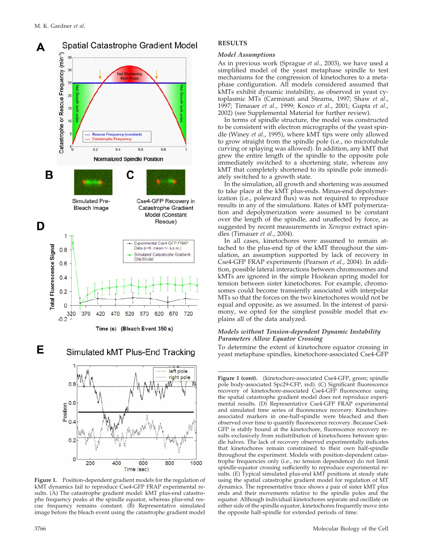

Е

Simulated kMT Plus-End Tracking



**Figure 1.** Position-dependent gradient models for the regulation of kMT dynamics fail to reproduce Cse4-GFP FRAP experimental results. (A) The catastrophe gradient model: kMT plus-end catastrophe frequency peaks at the spindle equator, whereas plus-end rescue frequency remains constant. (B) Representative simulated image before the bleach event using the catastrophe gradient model

#### **RESULTS**

#### *Model Assumptions*

As in previous work (Sprague *et al*., 2003), we have used a simplified model of the yeast metaphase spindle to test mechanisms for the congression of kinetochores to a metaphase configuration. All models considered assumed that kMTs exhibit dynamic instability, as observed in yeast cytoplasmic MTs (Carminati and Stearns, 1997; Shaw *et al*., 1997; Tirnauer *et al*., 1999; Kosco *et al*., 2001; Gupta *et al*., 2002) (see Supplemental Material for further review).

In terms of spindle structure, the model was constructed to be consistent with electron micrographs of the yeast spindle (Winey *et al*., 1995), where kMT tips were only allowed to grow straight from the spindle pole (i.e., no microtubule curving or splaying was allowed). In addition, any kMT that grew the entire length of the spindle to the opposite pole immediately switched to a shortening state, whereas any kMT that completely shortened to its spindle pole immediately switched to a growth state.

In the simulation, all growth and shortening was assumed to take place at the kMT plus-ends. Minus-end depolymerization (i.e., poleward flux) was not required to reproduce results in any of the simulations. Rates of kMT polymerization and depolymerization were assumed to be constant over the length of the spindle, and unaffected by force, as suggested by recent measurements in *Xenopus* extract spindles (Tirnauer *et al*., 2004).

In all cases, kinetochores were assumed to remain attached to the plus-end tip of the kMT throughout the simulation, an assumption supported by lack of recovery in Cse4-GFP FRAP experiments (Pearson *et al*., 2004). In addition, possible lateral interactions between chromosomes and kMTs are ignored in the simple Hookean spring model for tension between sister kinetochores. For example, chromosomes could become transiently associated with interpolar MTs so that the forces on the two kinetochores would not be equal and opposite, as we assumed. In the interest of parsimony, we opted for the simplest possible model that explains all of the data analyzed.

#### *Models without Tension-dependent Dynamic Instability Parameters Allow Equator Crossing*

To determine the extent of kinetochore equator crossing in yeast metaphase spindles, kinetochore-associated Cse4-GFP

Figure 1 (cont). (kinetochore-associated Cse4-GFP, green; spindle pole body-associated Spc29-CFP, red). (C) Significant fluorescence recovery of kinetochore-associated Cse4-GFP fluorescence using the spatial catastrophe gradient model does not reproduce experimental results. (D) Representative Cse4-GFP FRAP experimental and simulated time series of fluorescence recovery. Kinetochoreassociated markers in one-half-spindle were bleached and then observed over time to quantify fluorescence recovery. Because Cse4- GFP is stably bound at the kinetochore, fluorescence recovery results exclusively from redistribution of kinetochores between spindle halves. The lack of recovery observed experimentally indicates that kinetochores remain constrained to their own half-spindle throughout the experiment. Models with position-dependent catastrophe frequencies only (i.e., no tension dependence) do not limit spindle-equator crossing sufficiently to reproduce experimental results. (E) Typical simulated plus-end kMT positions at steady state using the spatial catastrophe gradient model for regulation of MT dynamics. The representative trace shows a pair of sister kMT plus ends and their movements relative to the spindle poles and the equator. Although individual kinetochores separate and oscillate on either side of the spindle equator, kinetochores frequently move into the opposite half-spindle for extended periods of time.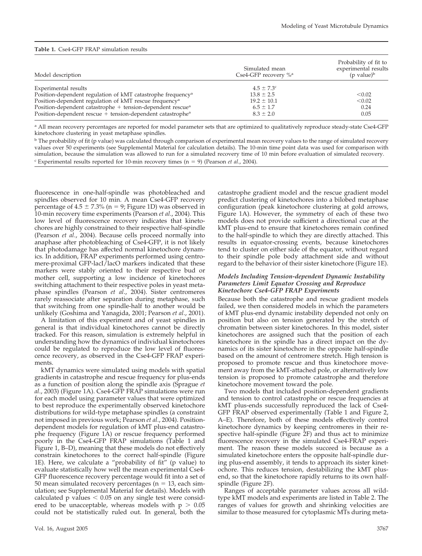| Model description                                                        | Simulated mean<br>Cse4-GFP recovery $\%$ <sup>a</sup> | Probability of fit to<br>experimental results<br>$(p \text{ value})^b$ |
|--------------------------------------------------------------------------|-------------------------------------------------------|------------------------------------------------------------------------|
| Experimental results                                                     | $4.5 \pm 7.3$ °                                       |                                                                        |
| Position-dependent regulation of kMT catastrophe frequency <sup>a</sup>  | $13.8 \pm 2.5$                                        | < 0.02                                                                 |
| Position-dependent regulation of kMT rescue frequency <sup>a</sup>       | $19.2 \pm 10.1$                                       | < 0.02                                                                 |
| Position-dependent catastrophe + tension-dependent rescue <sup>a</sup>   | $6.5 \pm 1.7$                                         | 0.24                                                                   |
| Position-dependent rescue $+$ tension-dependent catastrophe <sup>a</sup> | $8.3 \pm 2.0$                                         | 0.05                                                                   |

<sup>a</sup> All mean recovery percentages are reported for model parameter sets that are optimized to qualitatively reproduce steady-state Cse4-GFP kinetochore clustering in yeast metaphase spindles.

<sup>b</sup> The probability of fit (p value) was calculated through comparison of experimental mean recovery values to the range of simulated recovery values over 50 experiments (see Supplemental Material for calculation details). The 10-min time point data was used for comparison with simulation, because the simulation was allowed to run for a simulated recovery time of 10 min before evaluation of simulated recovery.  $\epsilon$  Experimental results reported for 10-min recovery times ( $n = 9$ ) (Pearson *et al.*, 2004).

fluorescence in one-half-spindle was photobleached and spindles observed for 10 min. A mean Cse4-GFP recovery percentage of  $4.5 \pm 7.3\%$  (n = 9; Figure 1D) was observed in 10-min recovery time experiments (Pearson *et al*., 2004). This low level of fluorescence recovery indicates that kinetochores are highly constrained to their respective half-spindle (Pearson *et al*., 2004). Because cells proceed normally into anaphase after photobleaching of Cse4-GFP, it is not likely that photodamage has affected normal kinetochore dynamics. In addition, FRAP experiments performed using centromere-proximal GFP-lacI/lacO markers indicated that these markers were stably oriented to their respective bud or mother cell, supporting a low incidence of kinetochores switching attachment to their respective poles in yeast metaphase spindles (Pearson *et al*., 2004). Sister centromeres rarely reassociate after separation during metaphase, such that switching from one spindle-half to another would be unlikely (Goshima and Yanagida, 2001; Pearson *et al*., 2001).

A limitation of this experiment and of yeast spindles in general is that individual kinetochores cannot be directly tracked. For this reason, simulation is extremely helpful in understanding how the dynamics of individual kinetochores could be regulated to reproduce the low level of fluorescence recovery, as observed in the Cse4-GFP FRAP experiments.

kMT dynamics were simulated using models with spatial gradients in catastrophe and rescue frequency for plus-ends as a function of position along the spindle axis (Sprague *et al*., 2003) (Figure 1A). Cse4-GFP FRAP simulations were run for each model using parameter values that were optimized to best reproduce the experimentally observed kinetochore distributions for wild-type metaphase spindles (a constraint not imposed in previous work; Pearson *et al*., 2004). Positiondependent models for regulation of kMT plus-end catastrophe frequency (Figure 1A) or rescue frequency performed poorly in the Cse4-GFP FRAP simulations (Table 1 and Figure 1, B–D), meaning that these models do not effectively constrain kinetochores to the correct half-spindle (Figure 1E). Here, we calculate a "probability of fit" (p value) to evaluate statistically how well the mean experimental Cse4- GFP fluorescence recovery percentage would fit into a set of 50 mean simulated recovery percentages ( $n = 13$ , each simulation; see Supplemental Material for details). Models with calculated p values  $< 0.05$  on any single test were considered to be unacceptable, whereas models with  $p > 0.05$ could not be statistically ruled out. In general, both the

catastrophe gradient model and the rescue gradient model predict clustering of kinetochores into a bilobed metaphase configuration (peak kinetochore clustering at gold arrows, Figure 1A). However, the symmetry of each of these two models does not provide sufficient a directional cue at the kMT plus-end to ensure that kinetochores remain confined to the half-spindle to which they are directly attached. This results in equator-crossing events, because kinetochores tend to cluster on either side of the equator, without regard to their spindle pole body attachment side and without regard to the behavior of their sister kinetochore (Figure 1E).

#### *Models Including Tension-dependent Dynamic Instability Parameters Limit Equator Crossing and Reproduce Kinetochore Cse4-GFP FRAP Experiments*

Because both the catastrophe and rescue gradient models failed, we then considered models in which the parameters of kMT plus-end dynamic instability depended not only on position but also on tension generated by the stretch of chromatin between sister kinetochores. In this model, sister kinetochores are assigned such that the position of each kinetochore in the spindle has a direct impact on the dynamics of its sister kinetochore in the opposite half-spindle based on the amount of centromere stretch. High tension is proposed to promote rescue and thus kinetochore movement away from the kMT-attached pole, or alternatively low tension is proposed to promote catastrophe and therefore kinetochore movement toward the pole.

Two models that included position-dependent gradients and tension to control catastrophe or rescue frequencies at kMT plus-ends successfully reproduced the lack of Cse4-GFP FRAP observed experimentally (Table 1 and Figure 2, A–E). Therefore, both of these models effectively control kinetochore dynamics by keeping centromeres in their respective half-spindle (Figure 2F) and thus act to minimize fluorescence recovery in the simulated Cse4-FRAP experiment. The reason these models succeed is because as a simulated kinetochore enters the opposite half-spindle during plus-end assembly, it tends to approach its sister kinetochore. This reduces tension, destabilizing the kMT plusend, so that the kinetochore rapidly returns to its own halfspindle (Figure 2F).

Ranges of acceptable parameter values across all wildtype kMT models and experiments are listed in Table 2. The ranges of values for growth and shrinking velocities are similar to those measured for cytoplasmic MTs during meta-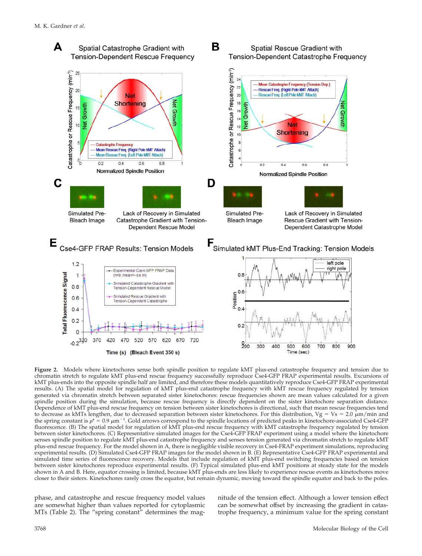

**Figure 2.** Models where kinetochores sense both spindle position to regulate kMT plus-end catastrophe frequency and tension due to chromatin stretch to regulate kMT plus-end rescue frequency successfully reproduce Cse4-GFP FRAP experimental results. Excursions of kMT plus-ends into the opposite spindle half are limited, and therefore these models quantitatively reproduce Cse4-GFP FRAP experimental results. (A) The spatial model for regulation of kMT plus-end catastrophe frequency with kMT rescue frequency regulated by tension generated via chromatin stretch between separated sister kinetochores: rescue frequencies shown are mean values calculated for a given spindle position during the simulation, because rescue frequency is directly dependent on the sister kinetochore separation distance. Dependence of kMT plus-end rescue frequency on tension between sister kinetochores is directional, such that mean rescue frequencies tend to decrease as kMTs lengthen, due to decreased separation between sister kinetochores. For this distribution, Vg = Vs = 2.0  $\mu$ m/min and the spring constant is  $\rho^* = 0.9 \ \mu m^{-1}$ . Gold arrows correspond to the spindle locations of predicted peaks in kinetochore-associated Cse4-GFP fluorescence. (B) The spatial model for regulation of kMT plus-end rescue frequency with kMT catastrophe frequency regulated by tension between sister kinetochores. (C) Representative simulated images for the Cse4-GFP FRAP experiment using a model where the kinetochore senses spindle position to regulate kMT plus-end catastrophe frequency and senses tension generated via chromatin stretch to regulate kMT plus-end rescue frequency. For the model shown in A, there is negligible visible recovery in Cse4-FRAP experiment simulations, reproducing experimental results. (D) Simulated Cse4-GFP FRAP images for the model shown in B. (E) Representative Cse4-GFP FRAP experimental and simulated time series of fluorescence recovery. Models that include regulation of kMT plus-end switching frequencies based on tension between sister kinetochores reproduce experimental results. (F) Typical simulated plus-end kMT positions at steady state for the models shown in A and B. Here, equator crossing is limited, because kMT plus-ends are less likely to experience rescue events as kinetochores move closer to their sisters. Kinetochores rarely cross the equator, but remain dynamic, moving toward the spindle equator and back to the poles.

phase, and catastrophe and rescue frequency model values are somewhat higher than values reported for cytoplasmic MTs (Table 2). The "spring constant" determines the magnitude of the tension effect. Although a lower tension effect can be somewhat offset by increasing the gradient in catastrophe frequency, a minimum value for the spring constant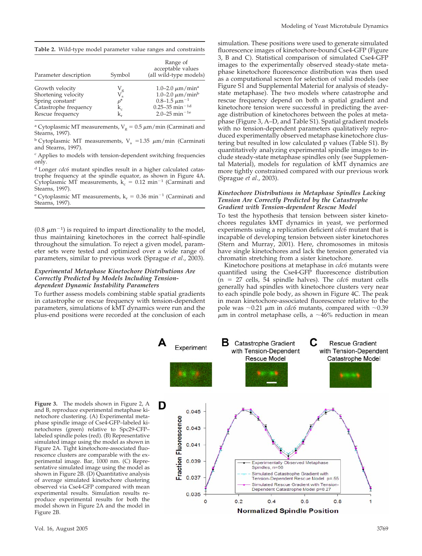| Table 2. Wild-type model parameter value ranges and constraints |  |  |  |
|-----------------------------------------------------------------|--|--|--|
|-----------------------------------------------------------------|--|--|--|

| Parameter description                                                                                               | Symbol                                                      | Range of<br>acceptable values<br>(all wild-type models)                                                                                                       |
|---------------------------------------------------------------------------------------------------------------------|-------------------------------------------------------------|---------------------------------------------------------------------------------------------------------------------------------------------------------------|
| Growth velocity<br>Shortening velocity<br>Spring constant <sup>c</sup><br>Catastrophe frequency<br>Rescue frequency | V <sub>g</sub><br>V <sub>s</sub><br>$\rho^*$<br>$k_c$<br>k, | 1.0–2.0 $\mu$ m/min <sup>a</sup><br>1.0-2.0 $\mu$ m/min <sup>b</sup><br>$0.8-1.5 \ \mu m^{-1}$<br>$0.25 - 35$ min <sup>-1d</sup><br>2.0–25 min <sup>-1e</sup> |

<sup>a</sup> Cytoplasmic MT measurements,  $V_g = 0.5 \ \mu m/min$  (Carminati and Stearns, 1997).

<sup>b</sup> Cytoplasmic MT measurements,  $V_s = 1.35 \mu m/min$  (Carminati and Stearns, 1997).

<sup>c</sup> Applies to models with tension-dependent switching frequencies only.

<sup>d</sup> Longer *cdc6* mutant spindles result in a higher calculated catastrophe frequency at the spindle equator, as shown in Figure 4A. Cytoplasmic MT measurements,  $k_c = 0.12$  min<sup>-1</sup> (Carminati and Stearns, 1997).

e Cytoplasmic MT measurements,  $k_r = 0.36$  min<sup>-1</sup> (Carminati and Stearns, 1997).

 $(0.8 \ \mu m^{-1})$  is required to impart directionality to the model, thus maintaining kinetochores in the correct half-spindle throughout the simulation. To reject a given model, parameter sets were tested and optimized over a wide range of parameters, similar to previous work (Sprague *et al*., 2003).

#### *Experimental Metaphase Kinetochore Distributions Are Correctly Predicted by Models Including Tensiondependent Dynamic Instability Parameters*

To further assess models combining stable spatial gradients in catastrophe or rescue frequency with tension-dependent parameters, simulations of kMT dynamics were run and the plus-end positions were recorded at the conclusion of each simulation. These positions were used to generate simulated fluorescence images of kinetochore-bound Cse4-GFP (Figure 3, B and C). Statistical comparison of simulated Cse4-GFP images to the experimentally observed steady-state metaphase kinetochore fluorescence distribution was then used as a computational screen for selection of valid models (see Figure S1 and Supplemental Material for analysis of steadystate metaphase). The two models where catastrophe and rescue frequency depend on both a spatial gradient and kinetochore tension were successful in predicting the average distribution of kinetochores between the poles at metaphase (Figure 3, A–D, and Table S1). Spatial gradient models with no tension-dependent parameters qualitatively reproduced experimentally observed metaphase kinetochore clustering but resulted in low calculated p values (Table S1). By quantitatively analyzing experimental spindle images to include steady-state metaphase spindles only (see Supplemental Material), models for regulation of kMT dynamics are more tightly constrained compared with our previous work (Sprague *et al*., 2003).

#### *Kinetochore Distributions in Metaphase Spindles Lacking Tension Are Correctly Predicted by the Catastrophe Gradient with Tension-dependent Rescue Model*

To test the hypothesis that tension between sister kinetochores regulates kMT dynamics in yeast, we performed experiments using a replication deficient *cdc6* mutant that is incapable of developing tension between sister kinetochores (Stern and Murray, 2001). Here, chromosomes in mitosis have single kinetochores and lack the tension generated via chromatin stretching from a sister kinetochore.

Kinetochore positions at metaphase in *cdc6* mutants were quantified using the Cse4-GFP fluorescence distribution  $(n = 27$  cells, 54 spindle halves). The *cdc6* mutant cells generally had spindles with kinetochore clusters very near to each spindle pole body, as shown in Figure 4C. The peak in mean kinetochore-associated fluorescence relative to the pole was  $\sim$ 0.21  $\mu$ m in *cdc6* mutants, compared with  $\sim$ 0.39  $\mu$ m in control metaphase cells, a ~46% reduction in mean



**Figure 3.** The models shown in Figure 2, A and B, reproduce experimental metaphase kinetochore clustering. (A) Experimental metaphase spindle image of Cse4-GFP–labeled kinetochores (green) relative to Spc29-CFP– labeled spindle poles (red). (B) Representative simulated image using the model as shown in Figure 2A. Tight kinetochore-associated fluorescence clusters are comparable with the experimental image. Bar, 1000 nm. (C) Representative simulated image using the model as shown in Figure 2B. (D) Quantitative analysis of average simulated kinetochore clustering observed via Cse4-GFP compared with mean experimental results. Simulation results reproduce experimental results for both the model shown in Figure 2A and the model in Figure 2B.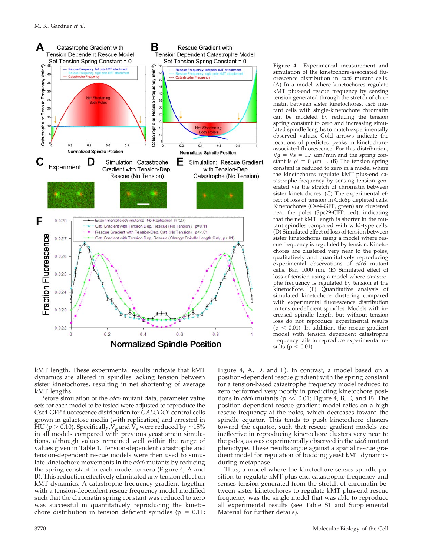

simulation of the kinetochore-associated fluorescence distribution in *cdc6* mutant cells. (A) In a model where kinetochores regulate kMT plus-end rescue frequency by sensing tension generated through the stretch of chromatin between sister kinetochores, *cdc6* mutant cells with single-kinetochore chromatin can be modeled by reducing the tension spring constant to zero and increasing simulated spindle lengths to match experimentally observed values. Gold arrows indicate the locations of predicted peaks in kinetochoreassociated fluorescence. For this distribution,  $Vg = Vs = 1.7 \mu m/min$  and the spring constant is  $\rho^* = 0 \ \mu m^{-1}$ . (B) The tension spring constant is reduced to zero in a model where the kinetochores regulate kMT plus-end catastrophe frequency by sensing tension generated via the stretch of chromatin between sister kinetochores. (C) The experimental effect of loss of tension in Cdc6p depleted cells. Kinetochores (Cse4-GFP, green) are clustered near the poles (Spc29-CFP, red), indicating that the net kMT length is shorter in the mutant spindles compared with wild-type cells. (D) Simulated effect of loss of tension between sister kinetochores using a model where rescue frequency is regulated by tension. Kinetochores are clustered very near to the poles, qualitatively and quantitatively reproducing experimental observations of *cdc6* mutant cells. Bar, 1000 nm. (E) Simulated effect of loss of tension using a model where catastrophe frequency is regulated by tension at the kinetochore. (F) Quantitative analysis of simulated kinetochore clustering compared with experimental fluorescence distribution in tension-deficient spindles. Models with increased spindle length but without tension loss do not reproduce experimental results  $(p < 0.01)$ . In addition, the rescue gradient model with tension dependent catastrophe frequency fails to reproduce experimental results ( $p < 0.01$ ).

**Figure 4.** Experimental measurement and

kMT length. These experimental results indicate that kMT dynamics are altered in spindles lacking tension between sister kinetochores, resulting in net shortening of average kMT lengths.

Before simulation of the *cdc6* mutant data, parameter value sets for each model to be tested were adjusted to reproduce the Cse4-GFP fluorescence distribution for *GALCDC6* control cells grown in galactose media (with replication) and arrested in HU (p  $>$  0.10). Specifically,  $V<sub>g</sub>$  and  $\bar{V}<sub>s</sub>$  were reduced by  $\sim$ 15% in all models compared with previous yeast strain simulations, although values remained well within the range of values given in Table 1. Tension-dependent catastrophe and tension-dependent rescue models were then used to simulate kinetochore movements in the *cdc6* mutants by reducing the spring constant in each model to zero (Figure 4, A and B). This reduction effectively eliminated any tension effect on kMT dynamics. A catastrophe frequency gradient together with a tension-dependent rescue frequency model modified such that the chromatin spring constant was reduced to zero was successful in quantitatively reproducing the kinetochore distribution in tension deficient spindles ( $p = 0.11$ ;

Figure 4, A, D, and F). In contrast, a model based on a position-dependent rescue gradient with the spring constant for a tension-based catastrophe frequency model reduced to zero performed very poorly in predicting kinetochore positions in *cdc6* mutants ( $p \ll 0.01$ ; Figure 4, B, E, and F). The position-dependent rescue gradient model relies on a high rescue frequency at the poles, which decreases toward the spindle equator. This tends to push kinetochore clusters toward the equator, such that rescue gradient models are ineffective in reproducing kinetochore clusters very near to the poles, as was experimentally observed in the *cdc6* mutant phenotype. These results argue against a spatial rescue gradient model for regulation of budding yeast kMT dynamics during metaphase.

Thus, a model where the kinetochore senses spindle position to regulate kMT plus-end catastrophe frequency and senses tension generated from the stretch of chromatin between sister kinetochores to regulate kMT plus-end rescue frequency was the single model that was able to reproduce all experimental results (see Table S1 and Supplemental Material for further details).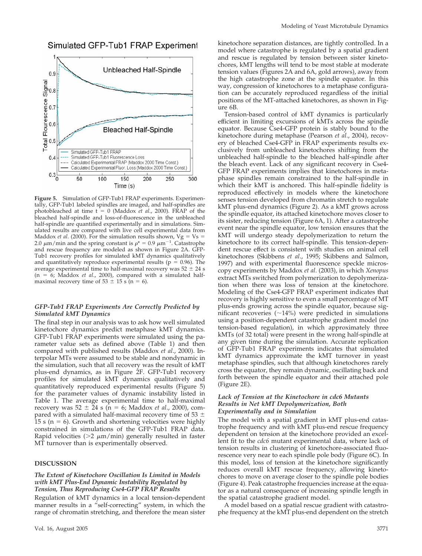## Simulated GFP-Tub1 FRAP Experiment



Figure 5. Simulation of GFP-Tub1 FRAP experiments. Experimentally, GFP-Tub1 labeled spindles are imaged, and half-spindles are photobleached at time  $t = 0$  (Maddox *et al.*, 2000). FRAP of the bleached half-spindle and loss-of-fluorescence in the unbleached half-spindle are quantified experimentally and in simulations. Simulated results are compared with live cell experimental data from Maddox *et al.* (2000). For the simulation results shown,  $Vg = Vs$ 2.0  $\mu$ m/min and the spring constant is  $\rho^* = 0.9 \ \mu$ m<sup>-1</sup>. Catastrophe and rescue frequency are modeled as shown in Figure 2A. GFP-Tub1 recovery profiles for simulated kMT dynamics qualitatively and quantitatively reproduce experimental results ( $p = 0.96$ ). The average experimental time to half-maximal recovery was 52  $\pm$  24 s  $(n = 6;$  Maddox *et al.*, 2000), compared with a simulated halfmaximal recovery time of  $53 \pm 15$  s (n = 6).

#### *GFP-Tub1 FRAP Experiments Are Correctly Predicted by Simulated kMT Dynamics*

The final step in our analysis was to ask how well simulated kinetochore dynamics predict metaphase kMT dynamics. GFP-Tub1 FRAP experiments were simulated using the parameter value sets as defined above (Table 1) and then compared with published results (Maddox *et al*., 2000). Interpolar MTs were assumed to be stable and nondynamic in the simulation, such that all recovery was the result of kMT plus-end dynamics, as in Figure 2F. GFP-Tub1 recovery profiles for simulated kMT dynamics qualitatively and quantitatively reproduced experimental results (Figure 5) for the parameter values of dynamic instability listed in Table 1. The average experimental time to half-maximal recovery was  $52 \pm 24$  s (n = 6; Maddox *et al.*, 2000), compared with a simulated half-maximal recovery time of 53  $\pm$ 15 s ( $n = 6$ ). Growth and shortening velocities were highly constrained in simulations of the GFP-Tub1 FRAP data. Rapid velocities ( $>2 \mu m/min$ ) generally resulted in faster MT turnover than is experimentally observed.

#### **DISCUSSION**

#### *The Extent of Kinetochore Oscillation Is Limited in Models with kMT Plus-End Dynamic Instability Regulated by Tension, Thus Reproducing Cse4-GFP FRAP Results*

Regulation of kMT dynamics in a local tension-dependent manner results in a "self-correcting" system, in which the range of chromatin stretching, and therefore the mean sister kinetochore separation distances, are tightly controlled. In a model where catastrophe is regulated by a spatial gradient and rescue is regulated by tension between sister kinetochores, kMT lengths will tend to be most stable at moderate tension values (Figures 2A and 6A, gold arrows), away from the high catastrophe zone at the spindle equator. In this way, congression of kinetochores to a metaphase configuration can be accurately reproduced regardless of the initial positions of the MT-attached kinetochores, as shown in Figure 6B.

Tension-based control of kMT dynamics is particularly efficient in limiting excursions of kMTs across the spindle equator. Because Cse4-GFP protein is stably bound to the kinetochore during metaphase (Pearson *et al*., 2004), recovery of bleached Cse4-GFP in FRAP experiments results exclusively from unbleached kinetochores shifting from the unbleached half-spindle to the bleached half-spindle after the bleach event. Lack of any significant recovery in Cse4- GFP FRAP experiments implies that kinetochores in metaphase spindles remain constrained to the half-spindle in which their kMT is anchored. This half-spindle fidelity is reproduced effectively in models where the kinetochore senses tension developed from chromatin stretch to regulate kMT plus-end dynamics (Figure 2). As a kMT grows across the spindle equator, its attached kinetochore moves closer to its sister, reducing tension (Figure 6A, 1). After a catastrophe event near the spindle equator, low tension ensures that the kMT will undergo steady depolymerization to return the kinetochore to its correct half-spindle. This tension-dependent rescue effect is consistent with studies on animal cell kinetochores (Skibbens *et al*., 1995; Skibbens and Salmon, 1997) and with experimental fluorescence speckle microscopy experiments by Maddox *et al*. (2003), in which *Xenopus* extract MTs switched from polymerization to depolymerization when there was loss of tension at the kinetochore. Modeling of the Cse4-GFP FRAP experiment indicates that recovery is highly sensitive to even a small percentage of MT plus-ends growing across the spindle equator, because significant recoveries  $(\sim 14\%)$  were predicted in simulations using a position-dependent catastrophe gradient model (no tension-based regulation), in which approximately three kMTs (of 32 total) were present in the wrong half-spindle at any given time during the simulation. Accurate replication of GFP-Tub1 FRAP experiments indicates that simulated kMT dynamics approximate the kMT turnover in yeast metaphase spindles, such that although kinetochores rarely cross the equator, they remain dynamic, oscillating back and forth between the spindle equator and their attached pole (Figure 2E).

#### *Lack of Tension at the Kinetochore in cdc6 Mutants Results in Net kMT Depolymerization, Both Experimentally and in Simulation*

The model with a spatial gradient in kMT plus-end catastrophe frequency and with kMT plus-end rescue frequency dependent on tension at the kinetochore provided an excellent fit to the *cdc6* mutant experimental data, where lack of tension results in clustering of kinetochore-associated fluorescence very near to each spindle pole body (Figure 6C). In this model, loss of tension at the kinetochore significantly reduces overall kMT rescue frequency, allowing kinetochores to move on average closer to the spindle pole bodies (Figure 4). Peak catastrophe frequencies increase at the equator as a natural consequence of increasing spindle length in the spatial catastrophe gradient model.

A model based on a spatial rescue gradient with catastrophe frequency at the kMT plus-end dependent on the stretch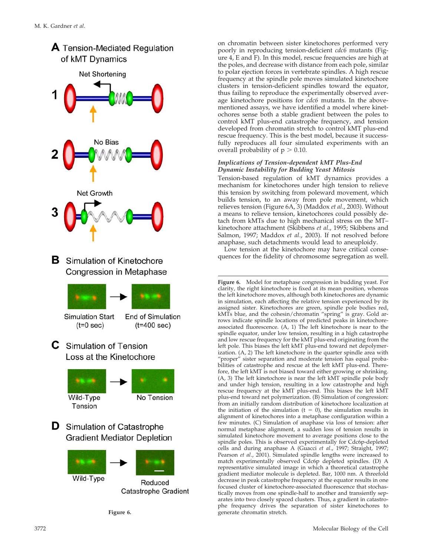

**Figure 6.**

on chromatin between sister kinetochores performed very poorly in reproducing tension-deficient *cdc6* mutants (Figure 4, E and F). In this model, rescue frequencies are high at the poles, and decrease with distance from each pole, similar to polar ejection forces in vertebrate spindles. A high rescue frequency at the spindle pole moves simulated kinetochore clusters in tension-deficient spindles toward the equator, thus failing to reproduce the experimentally observed average kinetochore positions for *cdc6* mutants. In the abovementioned assays, we have identified a model where kinetochores sense both a stable gradient between the poles to control kMT plus-end catastrophe frequency, and tension developed from chromatin stretch to control kMT plus-end rescue frequency. This is the best model, because it successfully reproduces all four simulated experiments with an overall probability of  $p > 0.10$ .

# *Implications of Tension-dependent kMT Plus-End Dynamic Instability for Budding Yeast Mitosis*

Tension-based regulation of kMT dynamics provides a mechanism for kinetochores under high tension to relieve this tension by switching from poleward movement, which builds tension, to an away from pole movement, which relieves tension (Figure 6A, 3) (Maddox *et al*., 2003). Without a means to relieve tension, kinetochores could possibly detach from kMTs due to high mechanical stress on the MT– kinetochore attachment (Skibbens *et al*., 1995; Skibbens and Salmon, 1997; Maddox *et al*., 2003). If not resolved before anaphase, such detachments would lead to aneuploidy.

Low tension at the kinetochore may have critical consequences for the fidelity of chromosome segregation as well.

**Figure 6.** Model for metaphase congression in budding yeast. For clarity, the right kinetochore is fixed at its mean position, whereas the left kinetochore moves, although both kinetochores are dynamic in simulation, each affecting the relative tension experienced by its assigned sister. Kinetochores are green, spindle pole bodies red, kMTs blue, and the cohesin/chromatin "spring" is gray. Gold arrows indicate spindle locations of predicted peaks in kinetochoreassociated fluorescence. (A, 1) The left kinetochore is near to the spindle equator, under low tension, resulting in a high catastrophe and low rescue frequency for the kMT plus-end originating from the left pole. This biases the left kMT plus-end toward net depolymerization. (A, 2) The left kinetochore in the quarter spindle area with "proper" sister separation and moderate tension has equal probabilities of catastrophe and rescue at the left kMT plus-end. Therefore, the left kMT is not biased toward either growing or shrinking. (A, 3) The left kinetochore is near the left kMT spindle pole body and under high tension, resulting in a low catastrophe and high rescue frequency at the kMT plus-end. This biases the left kMT plus-end toward net polymerization. (B) Simulation of congression: from an initially random distribution of kinetochore localization at the initiation of the simulation  $(t = 0)$ , the simulation results in alignment of kinetochores into a metaphase configuration within a few minutes. (C) Simulation of anaphase via loss of tension: after normal metaphase alignment, a sudden loss of tension results in simulated kinetochore movement to average positions close to the spindle poles. This is observed experimentally for Cdc6p-depleted cells and during anaphase A (Guacci *et al*., 1997; Straight, 1997; Pearson *et al*., 2001). Simulated spindle lengths were increased to match experimentally observed Cdc6p depleted spindles. (D) A representative simulated image in which a theoretical catastrophe gradient mediator molecule is depleted. Bar, 1000 nm. A threefold decrease in peak catastrophe frequency at the equator results in one focused cluster of kinetochore-associated fluorescence that stochastically moves from one spindle-half to another and transiently separates into two closely spaced clusters. Thus, a gradient in catastrophe frequency drives the separation of sister kinetochores to generate chromatin stretch.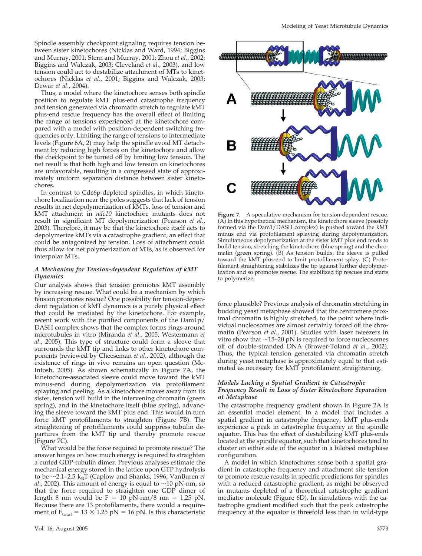Spindle assembly checkpoint signaling requires tension between sister kinetochores (Nicklas and Ward, 1994; Biggins and Murray, 2001; Stern and Murray, 2001; Zhou *et al*., 2002; Biggins and Walczak, 2003; Cleveland *et al*., 2003), and low tension could act to destabilize attachment of MTs to kinetochores (Nicklas *et al*., 2001; Biggins and Walczak, 2003; Dewar *et al*., 2004).

Thus, a model where the kinetochore senses both spindle position to regulate kMT plus-end catastrophe frequency and tension generated via chromatin stretch to regulate kMT plus-end rescue frequency has the overall effect of limiting the range of tensions experienced at the kinetochore compared with a model with position-dependent switching frequencies only. Limiting the range of tensions to intermediate levels (Figure 6A, 2) may help the spindle avoid MT detachment by reducing high forces on the kinetochore and allow the checkpoint to be turned off by limiting low tension. The net result is that both high and low tension on kinetochores are unfavorable, resulting in a congressed state of approximately uniform separation distance between sister kinetochores.

In contrast to Cdc6p-depleted spindles, in which kinetochore localization near the poles suggests that lack of tension results in net depolymerization of kMTs, loss of tension and kMT attachment in *ndc10* kinetochore mutants does not result in significant MT depolymerization (Pearson *et al*., 2003). Therefore, it may be that the kinetochore itself acts to depolymerize kMTs via a catastrophe gradient, an effect that could be antagonized by tension. Loss of attachment could thus allow for net polymerization of MTs, as is observed for interpolar MTs.

#### *A Mechanism for Tension-dependent Regulation of kMT Dynamics*

Our analysis shows that tension promotes kMT assembly by increasing rescue. What could be a mechanism by which tension promotes rescue? One possibility for tension-dependent regulation of kMT dynamics is a purely physical effect that could be mediated by the kinetochore. For example, recent work with the purified components of the Dam1p/ DASH complex shows that the complex forms rings around microtubules in vitro (Miranda *et al*., 2005; Westermann *et al*., 2005). This type of structure could form a sleeve that surrounds the kMT tip and links to other kinetochore components (reviewed by Cheeseman *et al*., 2002), although the existence of rings in vivo remains an open question (Mc-Intosh, 2005). As shown schematically in Figure 7A, the kinetochore-associated sleeve could move toward the kMT minus-end during depolymerization via protofilament splaying and peeling. As a kinetochore moves away from its sister, tension will build in the intervening chromatin (green spring), and in the kinetochore itself (blue spring), advancing the sleeve toward the kMT plus end. This would in turn force kMT protofilaments to straighten (Figure 7B). The straightening of protofilaments could suppress tubulin departures from the kMT tip and thereby promote rescue (Figure 7C).

What would be the force required to promote rescue? The answer hinges on how much energy is required to straighten a curled GDP-tubulin dimer. Previous analyses estimate the mechanical energy stored in the lattice upon GTP hydrolysis to be  $\sim$ 2.1–2.5 k<sub>B</sub>T (Caplow and Shanks, 1996; VanBuren *et al.*, 2002). This amount of energy is equal to  $\sim$  10 pN-nm, so that the force required to straighten one GDP dimer of length 8 nm would be  $F = 10$  pN-nm/8 nm = 1.25 pN. Because there are 13 protofilaments, there would a requirement of  $F_{total} = 13 \times 1.25$  pN = 16 pN. Is this characteristic



**Figure 7.** A speculative mechanism for tension-dependent rescue. (A) In this hypothetical mechanism, the kinetochore sleeve (possibly formed via the Dam1/DASH complex) is pushed toward the kMT minus end via protofilament splaying during depolymerization. Simultaneous depolymerization at the sister kMT plus end tends to build tension, stretching the kinetochore (blue spring) and the chromatin (green spring). (B) As tension builds, the sleeve is pulled toward the kMT plus-end to limit protofilament splay. (C) Protofilament straightening stabilizes the tip against further depolymerization and so promotes rescue. The stabilized tip rescues and starts to polymerize.

force plausible? Previous analysis of chromatin stretching in budding yeast metaphase showed that the centromere proximal chromatin is highly stretched, to the point where individual nucleosomes are almost certainly forced off the chromatin (Pearson *et al*., 2001). Studies with laser tweezers in vitro show that  $\sim$ 15–20 pN is required to force nucleosomes off of double-stranded DNA (Brower-Toland *et al*., 2002). Thus, the typical tension generated via chromatin stretch during yeast metaphase is approximately equal to that estimated as necessary for kMT protofilament straightening.

#### *Models Lacking a Spatial Gradient in Catastrophe Frequency Result in Loss of Sister Kinetochore Separation at Metaphase*

The catastrophe frequency gradient shown in Figure 2A is an essential model element. In a model that includes a spatial gradient in catastrophe frequency, kMT plus-ends experience a peak in catastrophe frequency at the spindle equator. This has the effect of destabilizing kMT plus-ends located at the spindle equator, such that kinetochores tend to cluster on either side of the equator in a bilobed metaphase configuration.

A model in which kinetochores sense both a spatial gradient in catastrophe frequency and attachment site tension to promote rescue results in specific predictions for spindles with a reduced catastrophe gradient, as might be observed in mutants depleted of a theoretical catastrophe gradient mediator molecule (Figure 6D). In simulations with the catastrophe gradient modified such that the peak catastrophe frequency at the equator is threefold less than in wild-type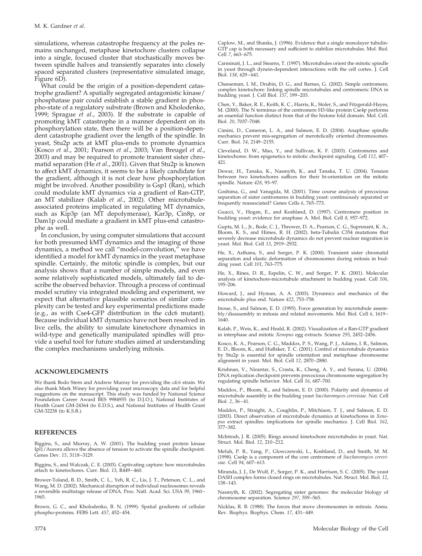simulations, whereas catastrophe frequency at the poles remains unchanged, metaphase kinetochore clusters collapse into a single, focused cluster that stochastically moves between spindle halves and transiently separates into closely spaced separated clusters (representative simulated image, Figure 6D).

What could be the origin of a position-dependent catastrophe gradient? A spatially segregated antagonistic kinase/ phosphatase pair could establish a stable gradient in phospho-state of a regulatory substrate (Brown and Kholodenko, 1999; Sprague *et al*., 2003). If the substrate is capable of promoting kMT catastrophe in a manner dependent on its phosphorylation state, then there will be a position-dependent catastrophe gradient over the length of the spindle. In yeast, Stu2p acts at kMT plus-ends to promote dynamics (Kosco *et al*., 2001; Pearson *et al*., 2003; Van Breugel *et al*., 2003) and may be required to promote transient sister chromatid separation (He *et al*., 2001). Given that Stu2p is known to affect kMT dynamics, it seems to be a likely candidate for the gradient, although it is not clear how phosphorylation might be involved. Another possibility is Gsp1 (Ran), which could modulate kMT dynamics via a gradient of Ran-GTP, an MT stabilizer (Kalab *et al*., 2002). Other microtubuleassociated proteins implicated in regulating MT dynamics, such as Kip3p (an MT depolymerase), Kar3p, Cin8p, or Dam1p could mediate a gradient in kMT plus-end catastrophe as well.

In conclusion, by using computer simulations that account for both presumed kMT dynamics and the imaging of those dynamics, a method we call "model-convolution," we have identified a model for kMT dynamics in the yeast metaphase spindle. Certainly, the mitotic spindle is complex, but our analysis shows that a number of simple models, and even some relatively sophisticated models, ultimately fail to describe the observed behavior. Through a process of continual model scrutiny via integrated modeling and experiment, we expect that alternative plausible scenarios of similar complexity can be tested and key experimental predictions made (e.g., as with Cse4-GFP distribution in the cdc6 mutant). Because individual kMT dynamics have not been resolved in live cells, the ability to simulate kinetochore dynamics in wild-type and genetically manipulated spindles will provide a useful tool for future studies aimed at understanding the complex mechanisms underlying mitosis.

#### **ACKNOWLEDGMENTS**

We thank Bodo Stern and Andrew Murray for providing the *cdc6* strain. We also thank Mark Winey for providing yeast microscopy data and for helpful suggestions on the manuscript. This study was funded by National Science Foundation Career Award BES 9984955 (to D.J.O.), National Institutes of Health Grant GM-24364 (to E.D.S.), and National Institutes of Health Grant GM-32238 (to K.S.B.).

#### **REFERENCES**

Biggins, S., and Murray, A. W. (2001). The budding yeast protein kinase Ipl1/Aurora allows the absence of tension to activate the spindle checkpoint. Genes Dev. *15*, 3118–3129.

Biggins, S., and Walczak, C. E. (2003). Captivating capture: how microtubules attach to kinetochores. Curr. Biol. *13*, R449–460.

Brower-Toland, B. D., Smith, C. L., Yeh, R. C., Lis, J. T., Peterson, C. L., and Wang, M. D. (2002). Mechanical disruption of individual nucleosomes reveals a reversible multistage release of DNA. Proc. Natl. Acad. Sci. USA *99*, 1960– 1965.

Brown, G. C., and Kholodenko, B. N. (1999). Spatial gradients of cellular phospho-proteins. FEBS Lett. *457*, 452–454.

Caplow, M., and Shanks, J. (1996). Evidence that a single monolayer tubulin-GTP cap is both necessary and sufficient to stabilize microtubules. Mol. Biol. Cell *7*, 663–675.

Carminati, J. L., and Stearns, T. (1997). Microtubules orient the mitotic spindle in yeast through dynein-dependent interactions with the cell cortex. J. Cell Biol. *138*, 629–641.

Cheeseman, I. M., Drubin, D. G., and Barnes, G. (2002). Simple centromere, complex kinetochore: linking spindle microtubules and centromeric DNA in budding yeast. J. Cell Biol. *157*, 199–203.

Chen, Y., Baker, R. E., Keith, K. C., Harris, K., Stoler, S., and Fitzgerald-Hayes, M. (2000). The N terminus of the centromere H3-like protein Cse4p performs an essential function distinct from that of the histone fold domain. Mol. Cell. Biol. *20*, 7037–7048.

Cimini, D., Cameron, L. A., and Salmon, E. D. (2004). Anaphase spindle mechanics prevent mis-segregation of merotelically oriented chromosomes. Curr. Biol. *14*, 2149–2155.

Cleveland, D. W., Mao, Y., and Sullivan, K. F. (2003). Centromeres and kinetochores: from epigenetics to mitotic checkpoint signaling. Cell *112*, 407– 421.

Dewar, H., Tanaka, K., Nasmyth, K., and Tanaka, T. U. (2004). Tension between two kinetochores suffices for their bi-orientation on the mitotic spindle. Nature *428*, 93–97.

Goshima, G., and Yanagida, M. (2001). Time course analysis of precocious separation of sister centromeres in budding yeast: continuously separated or frequently reassociated? Genes Cells *6*, 765–773.

Guacci, V., Hogan, E., and Koshland, D. (1997). Centromere position in budding yeast: evidence for anaphase A. Mol. Biol. Cell *8*, 957–972.

Gupta, M. L., Jr., Bode, C. J., Thrower, D. A., Pearson, C. G., Suprenant, K. A., Bloom, K. S., and Himes, R. H. (2002). beta-Tubulin C354 mutations that severely decrease microtubule dynamics do not prevent nuclear migration in yeast. Mol. Biol. Cell *13*, 2919–2932.

He, X., Asthana, S., and Sorger, P. K. (2000). Transient sister chromatid separation and elastic deformation of chromosomes during mitosis in budding yeast. Cell *101*, 763–775.

He, X., Rines, D. R., Espelin, C. W., and Sorger, P. K. (2001). Molecular analysis of kinetochore-microtubule attachment in budding yeast. Cell *106*, 195–206.

Howard, J., and Hyman, A. A. (2003). Dynamics and mechanics of the microtubule plus end. Nature *422*, 753–758.

Inoue, S., and Salmon, E. D. (1995). Force generation by microtubule assembly/disassembly in mitosis and related movements. Mol. Biol. Cell *6*, 1619– 1640.

Kalab, P., Weis, K., and Heald, R. (2002). Visualization of a Ran-GTP gradient in interphase and mitotic *Xenopus* egg extracts. Science *295*, 2452–2456.

Kosco, K. A., Pearson, C. G., Maddox, P. S., Wang, P. J., Adams, I. R., Salmon, E. D., Bloom, K., and Huffaker, T. C. (2001). Control of microtubule dynamics by Stu2p is essential for spindle orientation and metaphase chromosome alignment in yeast. Mol. Biol. Cell *12*, 2870–2880.

Krishnan, V., Nirantar, S., Crasta, K., Cheng, A. Y., and Surana, U. (2004). DNA replication checkpoint prevents precocious chromosome segregation by regulating spindle behavior. Mol. Cell *16*, 687–700.

Maddox, P., Bloom, K., and Salmon, E. D. (2000). Polarity and dynamics of microtubule assembly in the budding yeast *Saccharomyces cerevisiae*. Nat. Cell Biol. *2*, 36–41.

Maddox, P., Straight, A., Coughlin, P., Mitchison, T. J., and Salmon, E. D. (2003). Direct observation of microtubule dynamics at kinetochores in *Xenopus* extract spindles: implications for spindle mechanics. J. Cell Biol. *162*, 377–382.

McIntosh, J. R. (2005). Rings around kinetochore microtubules in yeast. Nat. Struct. Mol. Biol. *12*, 210–212.

Meluh, P. B., Yang, P., Glowczewski, L., Koshland, D., and Smith, M. M. (1998). Cse4p is a component of the core centromere of *Saccharomyces cerevisiae*. Cell *94*, 607–613.

Miranda, J. J., De Wulf, P., Sorger, P. K., and Harrison, S. C. (2005). The yeast DASH complex forms closed rings on microtubules. Nat. Struct. Mol. Biol. *12*, 138–143.

Nasmyth, K. (2002). Segregating sister genomes: the molecular biology of chromosome separation. Science *297*, 559–565.

Nicklas, R. B. (1988). The forces that move chromosomes in mitosis. Annu. Rev. Biophys. Biophys. Chem. *17*, 431–449.